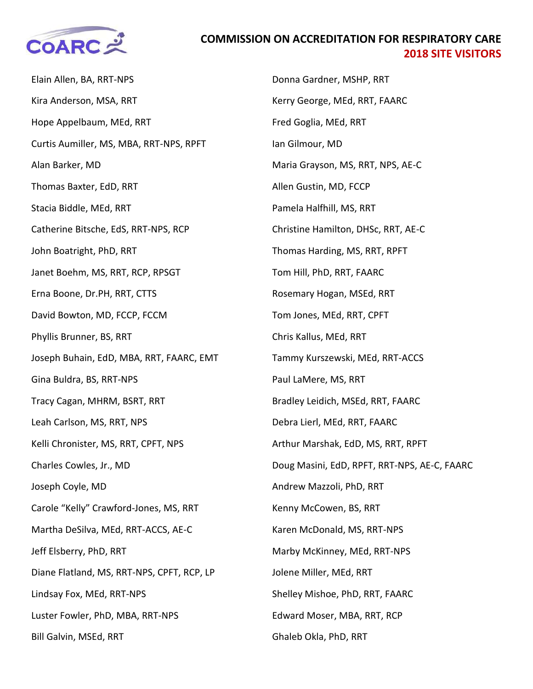

## **COMMISSION ON ACCREDITATION FOR RESPIRATORY CARE 2018 SITE VISITORS**

Elain Allen, BA, RRT-NPS Kira Anderson, MSA, RRT Hope Appelbaum, MEd, RRT Curtis Aumiller, MS, MBA, RRT-NPS, RPFT Alan Barker, MD Thomas Baxter, EdD, RRT Stacia Biddle, MEd, RRT Catherine Bitsche, EdS, RRT-NPS, RCP John Boatright, PhD, RRT Janet Boehm, MS, RRT, RCP, RPSGT Erna Boone, Dr.PH, RRT, CTTS David Bowton, MD, FCCP, FCCM Phyllis Brunner, BS, RRT Joseph Buhain, EdD, MBA, RRT, FAARC, EMT Gina Buldra, BS, RRT-NPS Tracy Cagan, MHRM, BSRT, RRT Leah Carlson, MS, RRT, NPS Kelli Chronister, MS, RRT, CPFT, NPS Charles Cowles, Jr., MD Joseph Coyle, MD Carole "Kelly" Crawford-Jones, MS, RRT Martha DeSilva, MEd, RRT-ACCS, AE-C Jeff Elsberry, PhD, RRT Diane Flatland, MS, RRT-NPS, CPFT, RCP, LP Lindsay Fox, MEd, RRT-NPS Luster Fowler, PhD, MBA, RRT-NPS Bill Galvin, MSEd, RRT

Donna Gardner, MSHP, RRT Kerry George, MEd, RRT, FAARC Fred Goglia, MEd, RRT Ian Gilmour, MD Maria Grayson, MS, RRT, NPS, AE-C Allen Gustin, MD, FCCP Pamela Halfhill, MS, RRT Christine Hamilton, DHSc, RRT, AE-C Thomas Harding, MS, RRT, RPFT Tom Hill, PhD, RRT, FAARC Rosemary Hogan, MSEd, RRT Tom Jones, MEd, RRT, CPFT Chris Kallus, MEd, RRT Tammy Kurszewski, MEd, RRT-ACCS Paul LaMere, MS, RRT Bradley Leidich, MSEd, RRT, FAARC Debra Lierl, MEd, RRT, FAARC Arthur Marshak, EdD, MS, RRT, RPFT Doug Masini, EdD, RPFT, RRT-NPS, AE-C, FAARC Andrew Mazzoli, PhD, RRT Kenny McCowen, BS, RRT Karen McDonald, MS, RRT-NPS Marby McKinney, MEd, RRT-NPS Jolene Miller, MEd, RRT Shelley Mishoe, PhD, RRT, FAARC Edward Moser, MBA, RRT, RCP Ghaleb Okla, PhD, RRT